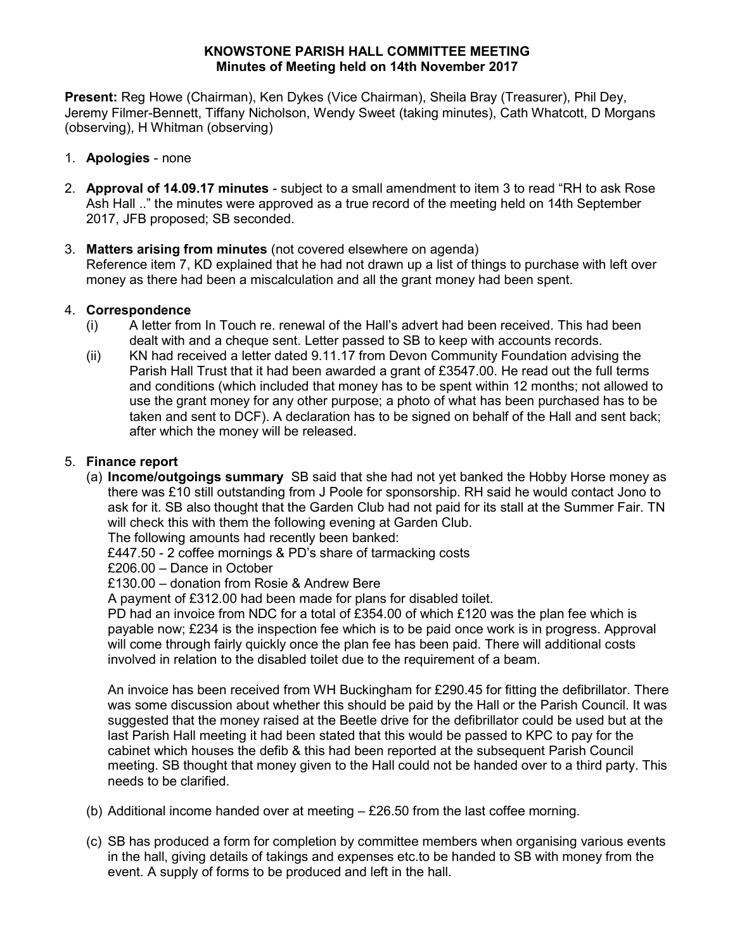### KNOWSTONE PARISH HALL COMMITTEE MEETING Minutes of Meeting held on 14th November 2017

Present: Reg Howe (Chairman), Ken Dykes (Vice Chairman), Sheila Bray (Treasurer), Phil Dey, Jeremy Filmer-Bennett, Tiffany Nicholson, Wendy Sweet (taking minutes), Cath Whatcott, D Morgans (observing), H Whitman (observing)

- 1. Apologies none
- 2. Approval of 14.09.17 minutes subject to a small amendment to item 3 to read "RH to ask Rose Ash Hall .." the minutes were approved as a true record of the meeting held on 14th September 2017, JFB proposed; SB seconded.

# 3. Matters arising from minutes (not covered elsewhere on agenda)

Reference item 7, KD explained that he had not drawn up a list of things to purchase with left over money as there had been a miscalculation and all the grant money had been spent.

# 4. Correspondence

- (i) A letter from In Touch re. renewal of the Hall's advert had been received. This had been dealt with and a cheque sent. Letter passed to SB to keep with accounts records.
- (ii) KN had received a letter dated 9.11.17 from Devon Community Foundation advising the Parish Hall Trust that it had been awarded a grant of £3547.00. He read out the full terms and conditions (which included that money has to be spent within 12 months; not allowed to use the grant money for any other purpose; a photo of what has been purchased has to be taken and sent to DCF). A declaration has to be signed on behalf of the Hall and sent back; after which the money will be released.

# 5. Finance report

(a) Income/outgoings summary SB said that she had not yet banked the Hobby Horse money as there was £10 still outstanding from J Poole for sponsorship. RH said he would contact Jono to ask for it. SB also thought that the Garden Club had not paid for its stall at the Summer Fair. TN will check this with them the following evening at Garden Club.

The following amounts had recently been banked:

£447.50 - 2 coffee mornings & PD's share of tarmacking costs

£206.00 – Dance in October

£130.00 – donation from Rosie & Andrew Bere

A payment of £312.00 had been made for plans for disabled toilet.

PD had an invoice from NDC for a total of £354.00 of which £120 was the plan fee which is payable now; £234 is the inspection fee which is to be paid once work is in progress. Approval will come through fairly quickly once the plan fee has been paid. There will additional costs involved in relation to the disabled toilet due to the requirement of a beam.

An invoice has been received from WH Buckingham for £290.45 for fitting the defibrillator. There was some discussion about whether this should be paid by the Hall or the Parish Council. It was suggested that the money raised at the Beetle drive for the defibrillator could be used but at the last Parish Hall meeting it had been stated that this would be passed to KPC to pay for the cabinet which houses the defib & this had been reported at the subsequent Parish Council meeting. SB thought that money given to the Hall could not be handed over to a third party. This needs to be clarified.

- (b) Additional income handed over at meeting £26.50 from the last coffee morning.
- (c) SB has produced a form for completion by committee members when organising various events in the hall, giving details of takings and expenses etc.to be handed to SB with money from the event. A supply of forms to be produced and left in the hall.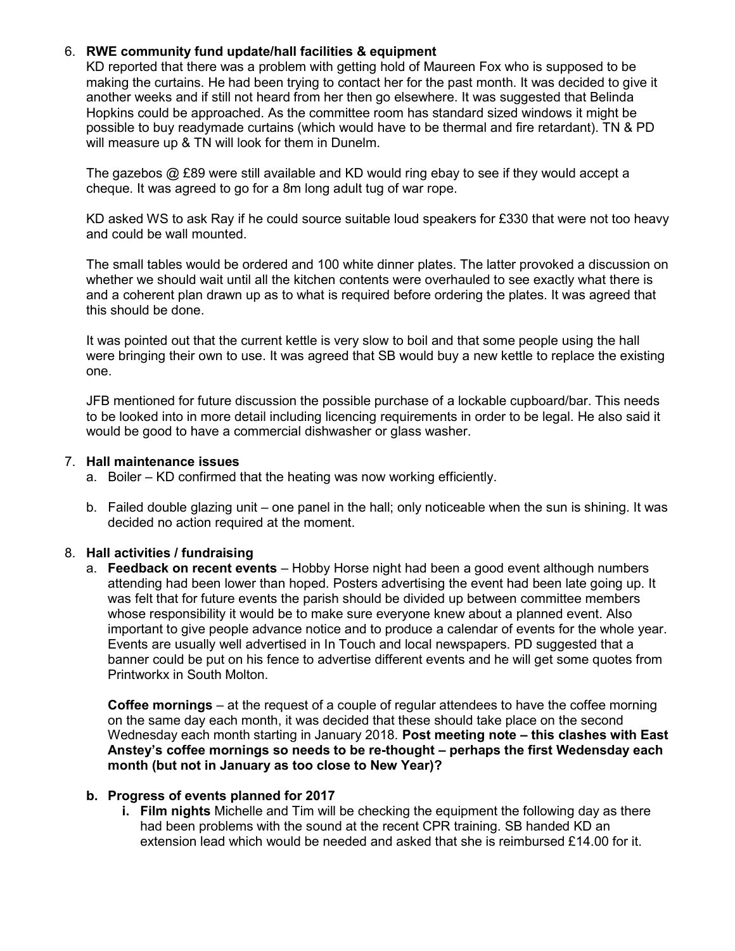## 6. RWE community fund update/hall facilities & equipment

KD reported that there was a problem with getting hold of Maureen Fox who is supposed to be making the curtains. He had been trying to contact her for the past month. It was decided to give it another weeks and if still not heard from her then go elsewhere. It was suggested that Belinda Hopkins could be approached. As the committee room has standard sized windows it might be possible to buy readymade curtains (which would have to be thermal and fire retardant). TN & PD will measure up & TN will look for them in Dunelm.

The gazebos @ £89 were still available and KD would ring ebay to see if they would accept a cheque. It was agreed to go for a 8m long adult tug of war rope.

KD asked WS to ask Ray if he could source suitable loud speakers for £330 that were not too heavy and could be wall mounted.

The small tables would be ordered and 100 white dinner plates. The latter provoked a discussion on whether we should wait until all the kitchen contents were overhauled to see exactly what there is and a coherent plan drawn up as to what is required before ordering the plates. It was agreed that this should be done.

It was pointed out that the current kettle is very slow to boil and that some people using the hall were bringing their own to use. It was agreed that SB would buy a new kettle to replace the existing one.

JFB mentioned for future discussion the possible purchase of a lockable cupboard/bar. This needs to be looked into in more detail including licencing requirements in order to be legal. He also said it would be good to have a commercial dishwasher or glass washer.

#### 7. Hall maintenance issues

- a. Boiler KD confirmed that the heating was now working efficiently.
- b. Failed double glazing unit one panel in the hall; only noticeable when the sun is shining. It was decided no action required at the moment.

## 8. Hall activities / fundraising

a. Feedback on recent events - Hobby Horse night had been a good event although numbers attending had been lower than hoped. Posters advertising the event had been late going up. It was felt that for future events the parish should be divided up between committee members whose responsibility it would be to make sure everyone knew about a planned event. Also important to give people advance notice and to produce a calendar of events for the whole year. Events are usually well advertised in In Touch and local newspapers. PD suggested that a banner could be put on his fence to advertise different events and he will get some quotes from Printworkx in South Molton.

Coffee mornings – at the request of a couple of regular attendees to have the coffee morning on the same day each month, it was decided that these should take place on the second Wednesday each month starting in January 2018. Post meeting note – this clashes with East Anstey's coffee mornings so needs to be re-thought – perhaps the first Wedensday each month (but not in January as too close to New Year)?

## b. Progress of events planned for 2017

i. Film nights Michelle and Tim will be checking the equipment the following day as there had been problems with the sound at the recent CPR training. SB handed KD an extension lead which would be needed and asked that she is reimbursed £14.00 for it.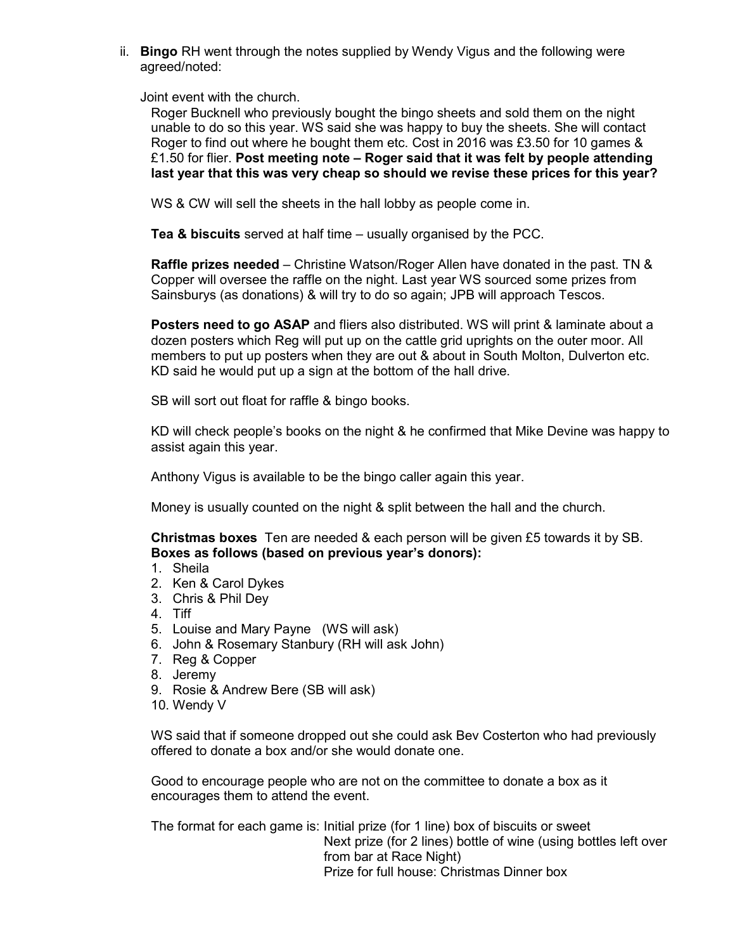ii. Bingo RH went through the notes supplied by Wendy Vigus and the following were agreed/noted:

Joint event with the church.

Roger Bucknell who previously bought the bingo sheets and sold them on the night unable to do so this year. WS said she was happy to buy the sheets. She will contact Roger to find out where he bought them etc. Cost in 2016 was £3.50 for 10 games & £1.50 for flier. Post meeting note  $-$  Roger said that it was felt by people attending last year that this was very cheap so should we revise these prices for this year?

WS & CW will sell the sheets in the hall lobby as people come in.

Tea & biscuits served at half time – usually organised by the PCC.

Raffle prizes needed – Christine Watson/Roger Allen have donated in the past. TN & Copper will oversee the raffle on the night. Last year WS sourced some prizes from Sainsburys (as donations) & will try to do so again; JPB will approach Tescos.

Posters need to go ASAP and fliers also distributed. WS will print & laminate about a dozen posters which Reg will put up on the cattle grid uprights on the outer moor. All members to put up posters when they are out & about in South Molton, Dulverton etc. KD said he would put up a sign at the bottom of the hall drive.

SB will sort out float for raffle & bingo books.

KD will check people's books on the night & he confirmed that Mike Devine was happy to assist again this year.

Anthony Vigus is available to be the bingo caller again this year.

Money is usually counted on the night & split between the hall and the church.

Christmas boxes Ten are needed & each person will be given £5 towards it by SB. Boxes as follows (based on previous year's donors):

- 1. Sheila
- 2. Ken & Carol Dykes
- 3. Chris & Phil Dey
- 4. Tiff
- 5. Louise and Mary Payne (WS will ask)
- 6. John & Rosemary Stanbury (RH will ask John)
- 7. Reg & Copper
- 8. Jeremy
- 9. Rosie & Andrew Bere (SB will ask)
- 10. Wendy V

WS said that if someone dropped out she could ask Bev Costerton who had previously offered to donate a box and/or she would donate one.

Good to encourage people who are not on the committee to donate a box as it encourages them to attend the event.

The format for each game is: Initial prize (for 1 line) box of biscuits or sweet Next prize (for 2 lines) bottle of wine (using bottles left over from bar at Race Night) Prize for full house: Christmas Dinner box